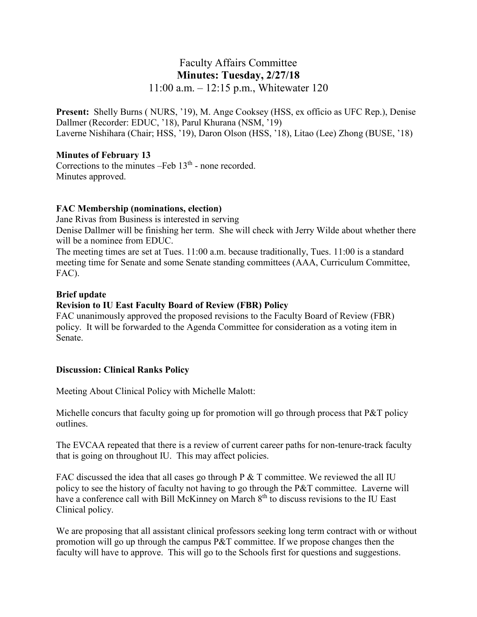# Faculty Affairs Committee **Minutes: Tuesday, 2/27/18** 11:00 a.m. – 12:15 p.m., Whitewater 120

**Present:** Shelly Burns ( NURS, '19), M. Ange Cooksey (HSS, ex officio as UFC Rep.), Denise Dallmer (Recorder: EDUC, '18), Parul Khurana (NSM, '19) Laverne Nishihara (Chair; HSS, '19), Daron Olson (HSS, '18), Litao (Lee) Zhong (BUSE, '18)

#### **Minutes of February 13**

Corrections to the minutes  $-Feb$  13<sup>th</sup> - none recorded. Minutes approved.

### **FAC Membership (nominations, election)**

Jane Rivas from Business is interested in serving Denise Dallmer will be finishing her term. She will check with Jerry Wilde about whether there will be a nominee from EDUC.

The meeting times are set at Tues. 11:00 a.m. because traditionally, Tues. 11:00 is a standard meeting time for Senate and some Senate standing committees (AAA, Curriculum Committee, FAC).

### **Brief update**

## **Revision to IU East Faculty Board of Review (FBR) Policy**

FAC unanimously approved the proposed revisions to the Faculty Board of Review (FBR) policy. It will be forwarded to the Agenda Committee for consideration as a voting item in Senate.

#### **Discussion: Clinical Ranks Policy**

Meeting About Clinical Policy with Michelle Malott:

Michelle concurs that faculty going up for promotion will go through process that P&T policy outlines.

The EVCAA repeated that there is a review of current career paths for non-tenure-track faculty that is going on throughout IU. This may affect policies.

FAC discussed the idea that all cases go through P & T committee. We reviewed the all IU policy to see the history of faculty not having to go through the P&T committee. Laverne will have a conference call with Bill McKinney on March 8<sup>th</sup> to discuss revisions to the IU East Clinical policy.

We are proposing that all assistant clinical professors seeking long term contract with or without promotion will go up through the campus P&T committee. If we propose changes then the faculty will have to approve. This will go to the Schools first for questions and suggestions.